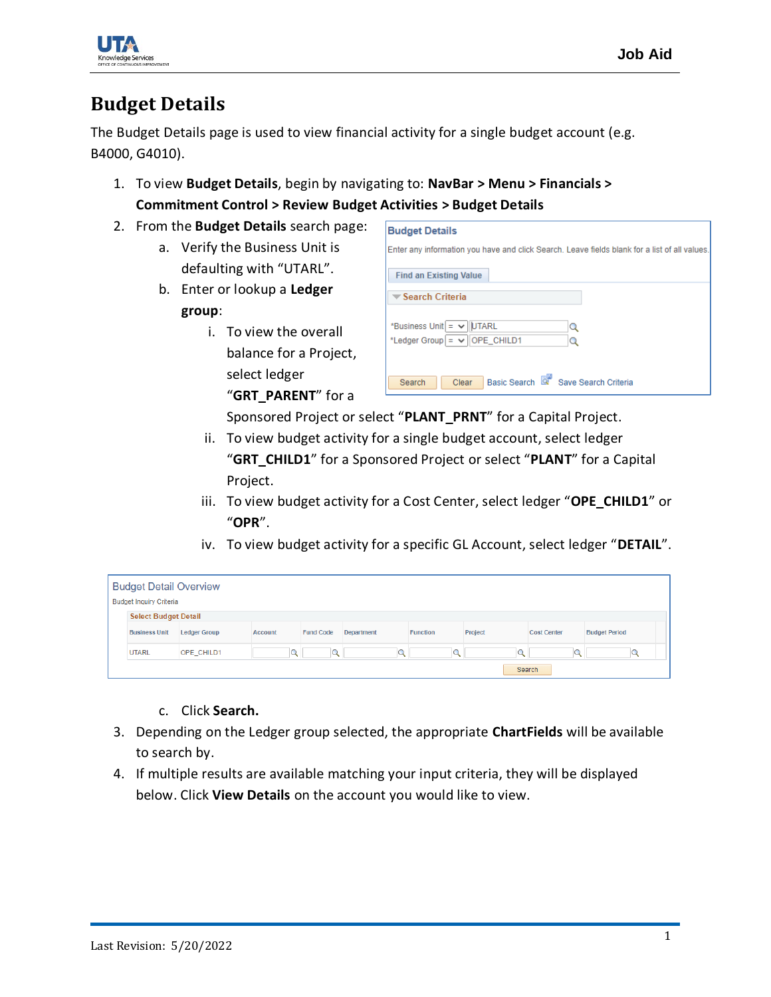

## **Budget Details**

The Budget Details page is used to view financial activity for a single budget account (e.g. B4000, G4010).

- 1. To view **Budget Details**, begin by navigating to: **NavBar > Menu > Financials > Commitment Control > Review Budget Activities > Budget Details**
- 2. From the **Budget Details** search page:
	- a. Verify the Business Unit is defaulting with "UTARL".
	- b. Enter or lookup a **Ledger group**:
		- i. To view the overall balance for a Project, select ledger "**GRT\_PARENT**" for a

|                                      | <b>Find an Existing Value</b>                 |   |  |
|--------------------------------------|-----------------------------------------------|---|--|
| $\blacktriangledown$ Search Criteria |                                               |   |  |
|                                      | *Business Unit $=$ $\vee$ UTARL               | Q |  |
|                                      | *Ledger Group $\vert = \vee \vert$ OPE_CHILD1 | Q |  |

Sponsored Project or select "**PLANT\_PRNT**" for a Capital Project.

- ii. To view budget activity for a single budget account, select ledger "**GRT\_CHILD1**" for a Sponsored Project or select "**PLANT**" for a Capital Project.
- iii. To view budget activity for a Cost Center, select ledger "**OPE\_CHILD1**" or "**OPR**".
- iv. To view budget activity for a specific GL Account, select ledger "**DETAIL**".

| <b>Budget Detail Overview</b><br><b>Budget Inquiry Criteria</b> |                     |         |                  |            |                 |         |                    |                      |  |  |
|-----------------------------------------------------------------|---------------------|---------|------------------|------------|-----------------|---------|--------------------|----------------------|--|--|
| <b>Select Budget Detail</b>                                     |                     |         |                  |            |                 |         |                    |                      |  |  |
| <b>Business Unit</b>                                            | <b>Ledger Group</b> | Account | <b>Fund Code</b> | Department | <b>Function</b> | Project | <b>Cost Center</b> | <b>Budget Period</b> |  |  |
| <b>UTARL</b>                                                    | OPE CHILD1          |         | $\mathbf{q}$     |            | $\alpha$        |         |                    |                      |  |  |
| Search                                                          |                     |         |                  |            |                 |         |                    |                      |  |  |

- c. Click **Search.**
- 3. Depending on the Ledger group selected, the appropriate **ChartFields** will be available to search by.
- 4. If multiple results are available matching your input criteria, they will be displayed below. Click **View Details** on the account you would like to view.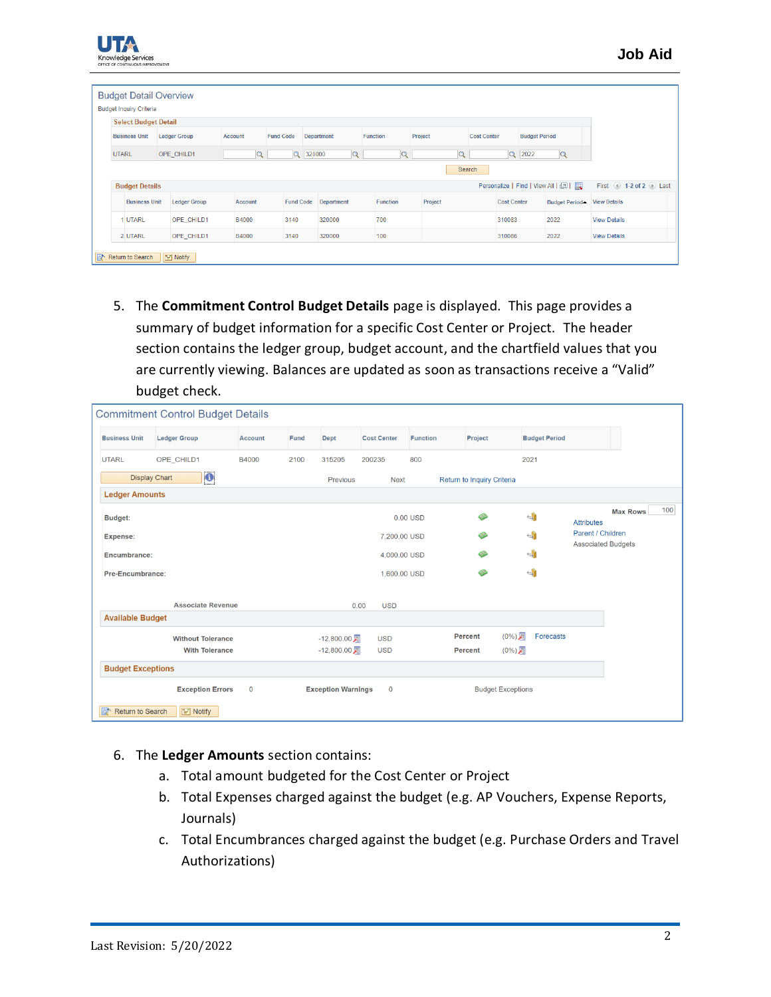| <b>Budget Inquiry Criteria</b> |                     |                |                  |                            |                 |          |                    |                                   |                         |
|--------------------------------|---------------------|----------------|------------------|----------------------------|-----------------|----------|--------------------|-----------------------------------|-------------------------|
| <b>Select Budget Detail</b>    |                     |                |                  |                            |                 |          |                    |                                   |                         |
| <b>Business Unit</b>           | <b>Ledger Group</b> | <b>Account</b> | <b>Fund Code</b> | Department                 | <b>Function</b> | Project  | <b>Cost Center</b> | <b>Budget Period</b>              |                         |
| <b>UTARL</b>                   | OPE CHILD1          | $\mathbf{Q}$   |                  | Q 320000<br>$\overline{Q}$ | Q               | $\alpha$ |                    | $Q$ 2022<br>$\overline{Q}$        |                         |
| <b>Budget Details</b>          |                     |                |                  |                            |                 |          | Search             | Personalize   Find   View All   2 | First 4 1-2 of 2 1 Last |
| <b>Business Unit</b>           | <b>Ledger Group</b> | <b>Account</b> | <b>Fund Code</b> | Department                 | <b>Function</b> | Project  | <b>Cost Center</b> | Budget Period - View Details      |                         |
| <b>UTARL</b>                   | OPE_CHILD1          | B4000          | 3140             | 320000                     | 700             |          | 310083             | 2022                              | <b>View Details</b>     |
|                                | OPE_CHILD1          | B4000          | 3140             | 320000                     | 100             |          | 310086             | 2022                              | <b>View Details</b>     |

5. The **Commitment Control Budget Details** page is displayed. This page provides a summary of budget information for a specific Cost Center or Project. The header section contains the ledger group, budget account, and the chartfield values that you are currently viewing. Balances are updated as soon as transactions receive a "Valid" budget check.

|                          | <b>Commitment Control Budget Details</b>          |                |      |                                  |                          |                 |                            |                      |                                                |                        |
|--------------------------|---------------------------------------------------|----------------|------|----------------------------------|--------------------------|-----------------|----------------------------|----------------------|------------------------------------------------|------------------------|
| <b>Business Unit</b>     | <b>Ledger Group</b>                               | <b>Account</b> | Fund | Dept                             | <b>Cost Center</b>       | <b>Function</b> | Project                    | <b>Budget Period</b> |                                                |                        |
| <b>UTARL</b>             | OPE CHILD1                                        | B4000          | 2100 | 315205                           | 200235                   | 800             |                            | 2021                 |                                                |                        |
| <b>Display Chart</b>     | $\mathbf{G}$                                      |                |      | Previous                         | <b>Next</b>              |                 | Return to Inquiry Criteria |                      |                                                |                        |
| <b>Ledger Amounts</b>    |                                                   |                |      |                                  |                          |                 |                            |                      |                                                |                        |
| <b>Budget:</b>           |                                                   |                |      |                                  |                          | $0.00$ USD      | չ                          | $\leftrightarrow$    | <b>Attributes</b>                              | 100<br><b>Max Rows</b> |
| Expense:                 |                                                   |                |      |                                  | 7,200,00 USD             |                 | չ                          | $\leftrightarrow$    | Parent / Children<br><b>Associated Budgets</b> |                        |
| <b>Encumbrance:</b>      |                                                   |                |      |                                  | 4,000.00 USD             |                 | ای                         | $\leftrightarrow$    |                                                |                        |
| <b>Pre-Encumbrance:</b>  |                                                   |                |      |                                  | 1,600,00 USD             |                 | ◈                          | $\leftrightarrow$    |                                                |                        |
|                          |                                                   |                |      |                                  |                          |                 |                            |                      |                                                |                        |
| <b>Available Budget</b>  | <b>Associate Revenue</b>                          |                |      | 0.00                             | <b>USD</b>               |                 |                            |                      |                                                |                        |
|                          |                                                   |                |      |                                  |                          |                 | (0%)量<br>Percent           | Forecasts            |                                                |                        |
|                          | <b>Without Tolerance</b><br><b>With Tolerance</b> |                |      | $-12,800.00$ 届<br>$-12,800.00$ 届 | <b>USD</b><br><b>USD</b> |                 |                            |                      |                                                |                        |
|                          |                                                   |                |      |                                  |                          |                 | (0%)局<br><b>Percent</b>    |                      |                                                |                        |
| <b>Budget Exceptions</b> |                                                   |                |      |                                  |                          |                 |                            |                      |                                                |                        |
|                          | <b>Exception Errors</b>                           | $\mathbf 0$    |      | <b>Exception Warnings</b>        | $\mathbf 0$              |                 | <b>Budget Exceptions</b>   |                      |                                                |                        |
| Return to Search<br>ಡ್   | $\equiv$ Notify                                   |                |      |                                  |                          |                 |                            |                      |                                                |                        |

- 6. The **Ledger Amounts** section contains:
	- a. Total amount budgeted for the Cost Center or Project
	- b. Total Expenses charged against the budget (e.g. AP Vouchers, Expense Reports, Journals)
	- c. Total Encumbrances charged against the budget (e.g. Purchase Orders and Travel Authorizations)

edge Services